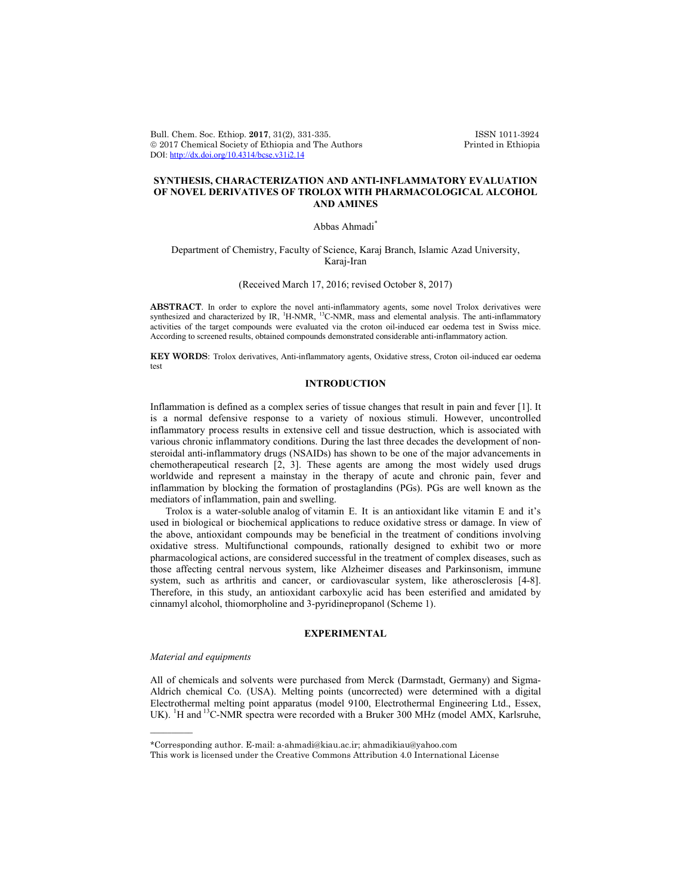Bull. Chem. Soc. Ethiop. 2017, 31(2), 331-335. ISSN 1011-3924<br>
© 2017 Chemical Society of Ethiopia and The Authors Printed in Ethiopia  $© 2017 Chemical Society of Ethiopia and The Authors$ DOI: http://dx.doi.org/10.4314/bcse.v31i2.14

# **SYNTHESIS, CHARACTERIZATION AND ANTI-INFLAMMATORY EVALUATION OF NOVEL DERIVATIVES OF TROLOX WITH PHARMACOLOGICAL ALCOHOL AND AMINES**

#### Abbas Ahmadi<sup>\*</sup>

## Department of Chemistry, Faculty of Science, Karaj Branch, Islamic Azad University, Karaj-Iran

## (Received March 17, 2016; revised October 8, 2017)

**ABSTRACT**. In order to explore the novel anti-inflammatory agents, some novel Trolox derivatives were synthesized and characterized by IR, <sup>1</sup>H-NMR, <sup>13</sup>C-NMR, mass and elemental analysis. The anti-inflammatory activities of the target compounds were evaluated via the croton oil-induced ear oedema test in Swiss mice. According to screened results, obtained compounds demonstrated considerable anti-inflammatory action.

**KEY WORDS**: Trolox derivatives, Anti-inflammatory agents, Oxidative stress, Croton oil-induced ear oedema test

# **INTRODUCTION**

Inflammation is defined as a complex series of tissue changes that result in pain and fever [1]. It is a normal defensive response to a variety of noxious stimuli. However, uncontrolled inflammatory process results in extensive cell and tissue destruction, which is associated with various chronic inflammatory conditions. During the last three decades the development of nonsteroidal anti-inflammatory drugs (NSAIDs) has shown to be one of the major advancements in chemotherapeutical research [2, 3]. These agents are among the most widely used drugs worldwide and represent a mainstay in the therapy of acute and chronic pain, fever and inflammation by blocking the formation of prostaglandins (PGs). PGs are well known as the mediators of inflammation, pain and swelling.

Trolox is a water-soluble analog of vitamin E. It is an antioxidant like vitamin E and it's used in biological or biochemical applications to reduce oxidative stress or damage. In view of the above, antioxidant compounds may be beneficial in the treatment of conditions involving oxidative stress. Multifunctional compounds, rationally designed to exhibit two or more pharmacological actions, are considered successful in the treatment of complex diseases, such as those affecting central nervous system, like Alzheimer diseases and Parkinsonism, immune system, such as arthritis and cancer, or cardiovascular system, like atherosclerosis [4-8]. Therefore, in this study, an antioxidant carboxylic acid has been esterified and amidated by cinnamyl alcohol, thiomorpholine and 3-pyridinepropanol (Scheme 1).

# **EXPERIMENTAL**

#### *Material and equipments*

 $\overline{\phantom{a}}$ 

All of chemicals and solvents were purchased from Merck (Darmstadt, Germany) and Sigma-Aldrich chemical Co. (USA). Melting points (uncorrected) were determined with a digital Electrothermal melting point apparatus (model 9100, Electrothermal Engineering Ltd., Essex, UK). <sup>1</sup>H and <sup>13</sup>C-NMR spectra were recorded with a Bruker 300 MHz (model AMX, Karlsruhe,

<sup>\*</sup>Corresponding author. E-mail: a-ahmadi@kiau.ac.ir; ahmadikiau@yahoo.com

This work is licensed under the Creative Commons Attribution 4.0 International License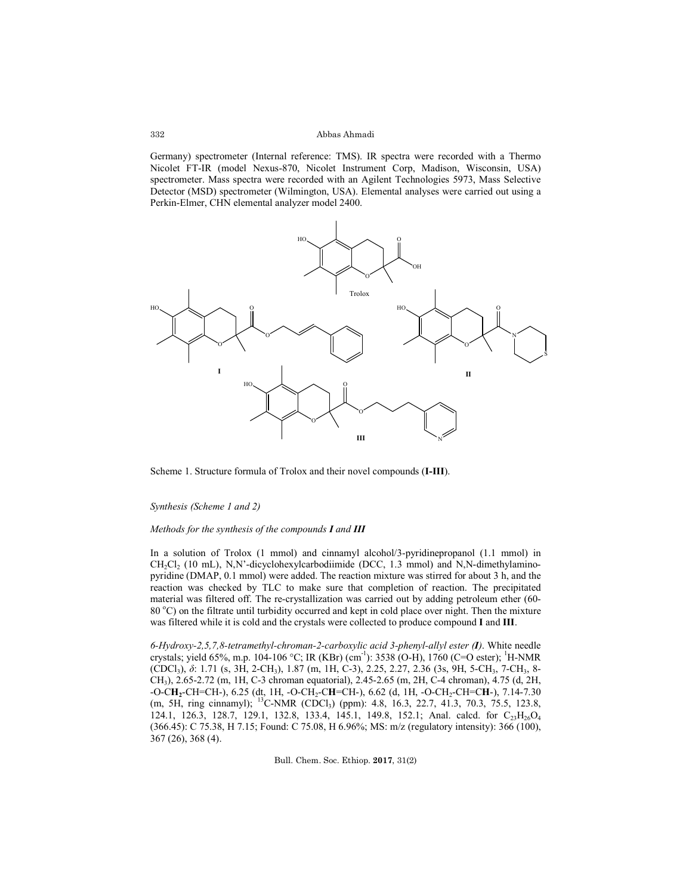#### Abbas Ahmadi

Germany) spectrometer (Internal reference: TMS). IR spectra were recorded with a Thermo Nicolet FT-IR (model Nexus-870, Nicolet Instrument Corp, Madison, Wisconsin, USA) spectrometer. Mass spectra were recorded with an Agilent Technologies 5973, Mass Selective Detector (MSD) spectrometer (Wilmington, USA). Elemental analyses were carried out using a Perkin-Elmer, CHN elemental analyzer model 2400.



Scheme 1. Structure formula of Trolox and their novel compounds (**I-III**).

#### *Synthesis (Scheme 1 and 2)*

#### *Methods for the synthesis of the compounds I and III*

In a solution of Trolox (1 mmol) and cinnamyl alcohol/3-pyridinepropanol (1.1 mmol) in  $CH_2Cl_2$  (10 mL), N,N'-dicyclohexylcarbodiimide (DCC, 1.3 mmol) and N,N-dimethylaminopyridine (DMAP, 0.1 mmol) were added. The reaction mixture was stirred for about 3 h, and the reaction was checked by TLC to make sure that completion of reaction. The precipitated material was filtered off. The re-crystallization was carried out by adding petroleum ether (60- 80 °C) on the filtrate until turbidity occurred and kept in cold place over night. Then the mixture was filtered while it is cold and the crystals were collected to produce compound **I** and **III**.

*6-Hydroxy-2,5,7,8-tetramethyl-chroman-2-carboxylic acid 3-phenyl-allyl ester (I)*. White needle crystals; yield 65%, m.p. 104-106 °C; IR (KBr) (cm<sup>-1</sup>): 3538 (O-H), 1760 (C=O ester); <sup>1</sup>H-NMR (CDCl3), *δ*: 1.71 (s, 3H, 2-CH3), 1.87 (m, 1H, C-3), 2.25, 2.27, 2.36 (3s, 9H, 5-CH3, 7-CH3, 8- CH3), 2.65-2.72 (m, 1H, C-3 chroman equatorial), 2.45-2.65 (m, 2H, C-4 chroman), 4.75 (d, 2H, -O-C**H2**-CH=CH-), 6.25 (dt, 1H, -O-CH2-C**H**=CH-), 6.62 (d, 1H, -O-CH2-CH=C**H**-), 7.14-7.30 (m, 5H, ring cinnamyl); <sup>13</sup>C-NMR (CDCl<sub>3</sub>) (ppm): 4.8, 16.3, 22.7, 41.3, 70.3, 75.5, 123.8, 124.1, 126.3, 128.7, 129.1, 132.8, 133.4, 145.1, 149.8, 152.1; Anal. calcd. for C<sub>23</sub>H<sub>26</sub>O<sub>4</sub> (366.45): C 75.38, H 7.15; Found: C 75.08, H 6.96%; MS: m/z (regulatory intensity): 366 (100), 367 (26), 368 (4).

Bull. Chem. Soc. Ethiop. **2017**, 31(2)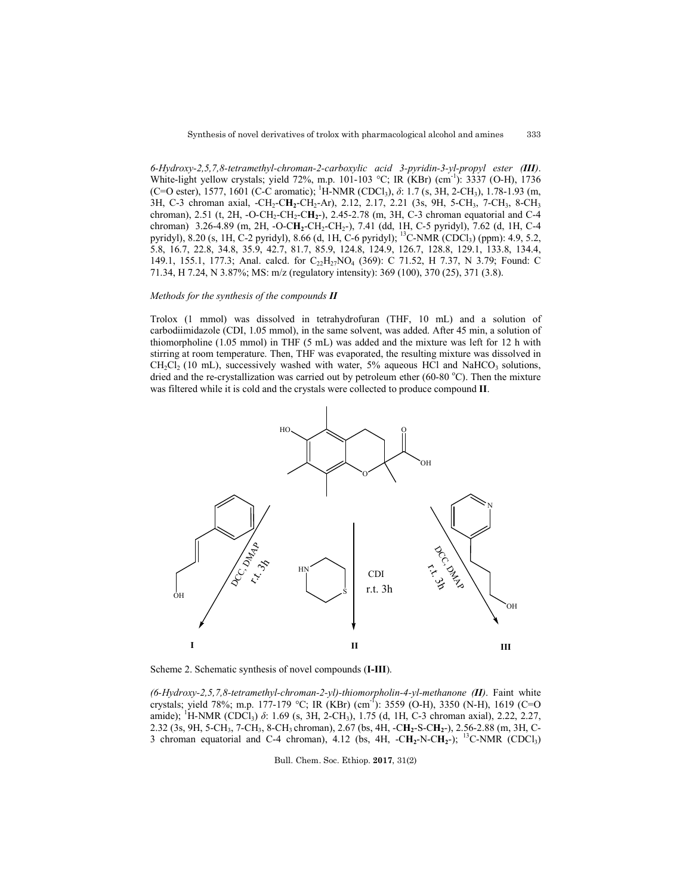*6-Hydroxy-2,5,7,8-tetramethyl-chroman-2-carboxylic acid 3-pyridin-3-yl-propyl ester (III)*. White-light yellow crystals; yield 72%, m.p. 101-103 °C; IR (KBr) (cm<sup>-1</sup>): 3337 (O-H), 1736 (C=O ester), 1577, 1601 (C-C aromatic); <sup>1</sup>H-NMR (CDCl<sub>3</sub>), *δ*: 1.7 (s, 3H, 2-CH<sub>3</sub>), 1.78-1.93 (m, 3H, C-3 chroman axial, -CH<sub>2</sub>-CH<sub>2</sub>-CH<sub>2</sub>-Ar), 2.12, 2.17, 2.21 (3s, 9H, 5-CH<sub>3</sub>, 7-CH<sub>3</sub>, 8-CH<sub>3</sub> chroman), 2.51 (t, 2H, -O-CH2-CH2-C**H2**-), 2.45-2.78 (m, 3H, C-3 chroman equatorial and C-4 chroman) 3.26-4.89 (m, 2H, -O-C**H2**-CH2-CH2-), 7.41 (dd, 1H, C-5 pyridyl), 7.62 (d, 1H, C-4 pyridyl), 8.20 (s, 1H, C-2 pyridyl), 8.66 (d, 1H, C-6 pyridyl); <sup>13</sup>C-NMR (CDCl<sub>3</sub>) (ppm): 4.9, 5.2, 5.8, 16.7, 22.8, 34.8, 35.9, 42.7, 81.7, 85.9, 124.8, 124.9, 126.7, 128.8, 129.1, 133.8, 134.4, 149.1, 155.1, 177.3; Anal. calcd. for C<sub>22</sub>H<sub>27</sub>NO<sub>4</sub> (369): C 71.52, H 7.37, N 3.79; Found: C 71.34, H 7.24, Ν 3.87%; MS: m/z (regulatory intensity): 369 (100), 370 (25), 371 (3.8).

## *Methods for the synthesis of the compounds II*

Trolox (1 mmol) was dissolved in tetrahydrofuran (THF, 10 mL) and a solution of carbodiimidazole (CDI, 1.05 mmol), in the same solvent, was added. After 45 min, a solution of thiomorpholine (1.05 mmol) in THF (5 mL) was added and the mixture was left for 12 h with stirring at room temperature. Then, THF was evaporated, the resulting mixture was dissolved in  $CH_2Cl_2$  (10 mL), successively washed with water, 5% aqueous HCl and NaHCO<sub>3</sub> solutions, dried and the re-crystallization was carried out by petroleum ether (60-80 °C). Then the mixture was filtered while it is cold and the crystals were collected to produce compound **II**.



Scheme 2. Schematic synthesis of novel compounds (**I-III**).

*(6-Hydroxy-2,5,7,8-tetramethyl-chroman-2-yl)-thiomorpholin-4-yl-methanone (II)*. Faint white crystals; yield 78%; m.p. 177-179 °C; IR (KBr) (cm-1 ): 3559 (O-H), 3350 (N-H), 1619 (C=O amide); <sup>1</sup>H-NMR (CDCl<sub>3</sub>) *δ*: 1.69 (s, 3H, 2-CH<sub>3</sub>), 1.75 (d, 1H, C-3 chroman axial), 2.22, 2.27, 2.32 (3s, 9H, 5-CH3, 7-CH3, 8-CH3 chroman), 2.67 (bs, 4H, -C**H2**-S-C**H2**-), 2.56-2.88 (m, 3H, C-3 chroman equatorial and C-4 chroman),  $4.12$  (bs,  $4H$ ,  $-CH_2-N-CH_2$ ); <sup>13</sup>C-NMR (CDCl<sub>3</sub>)

Bull. Chem. Soc. Ethiop. **2017**, 31(2)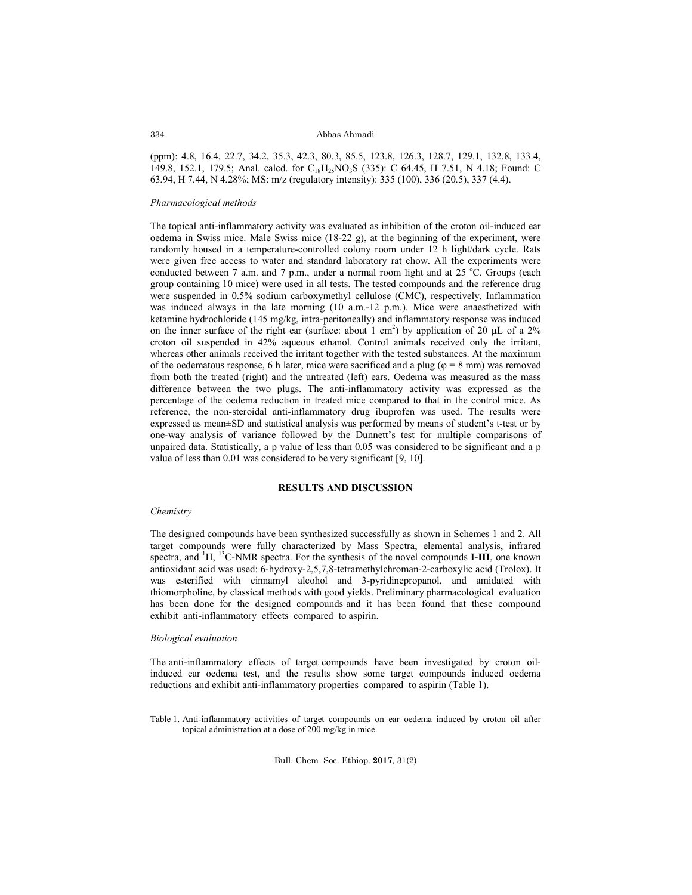#### Abbas Ahmadi

(ppm): 4.8, 16.4, 22.7, 34.2, 35.3, 42.3, 80.3, 85.5, 123.8, 126.3, 128.7, 129.1, 132.8, 133.4, 149.8, 152.1, 179.5; Anal. calcd. for C<sub>18</sub>H<sub>25</sub>NO<sub>3</sub>S (335): C 64.45, H 7.51, N 4.18; Found: C 63.94, H 7.44, Ν 4.28%; MS: m/z (regulatory intensity): 335 (100), 336 (20.5), 337 (4.4).

### *Pharmacological methods*

The topical anti-inflammatory activity was evaluated as inhibition of the croton oil-induced ear oedema in Swiss mice. Male Swiss mice (18-22 g), at the beginning of the experiment, were randomly housed in a temperature-controlled colony room under 12 h light/dark cycle. Rats were given free access to water and standard laboratory rat chow. All the experiments were conducted between 7 a.m. and 7 p.m., under a normal room light and at 25  $^{\circ}$ C. Groups (each group containing 10 mice) were used in all tests. The tested compounds and the reference drug were suspended in 0.5% sodium carboxymethyl cellulose (CMC), respectively. Inflammation was induced always in the late morning (10 a.m.-12 p.m.). Mice were anaesthetized with ketamine hydrochloride (145 mg/kg, intra-peritoneally) and inflammatory response was induced on the inner surface of the right ear (surface: about 1 cm<sup>2</sup>) by application of 20  $\mu$ L of a 2% croton oil suspended in 42% aqueous ethanol. Control animals received only the irritant, whereas other animals received the irritant together with the tested substances. At the maximum of the oedematous response, 6 h later, mice were sacrificed and a plug ( $\varphi = 8$  mm) was removed from both the treated (right) and the untreated (left) ears. Oedema was measured as the mass difference between the two plugs. The anti-inflammatory activity was expressed as the percentage of the oedema reduction in treated mice compared to that in the control mice. As reference, the non-steroidal anti-inflammatory drug ibuprofen was used. The results were expressed as mean±SD and statistical analysis was performed by means of student's t-test or by one-way analysis of variance followed by the Dunnett's test for multiple comparisons of unpaired data. Statistically, a p value of less than 0.05 was considered to be significant and a p value of less than 0.01 was considered to be very significant [9, 10].

## **RESULTS AND DISCUSSION**

#### *Chemistry*

The designed compounds have been synthesized successfully as shown in Schemes 1 and 2. All target compounds were fully characterized by Mass Spectra, elemental analysis, infrared spectra, and <sup>1</sup>H, <sup>13</sup>C-NMR spectra. For the synthesis of the novel compounds **I-III**, one known antioxidant acid was used: 6-hydroxy-2,5,7,8-tetramethylchroman-2-carboxylic acid (Trolox). It was esterified with cinnamyl alcohol and 3-pyridinepropanol, and amidated with thiomorpholine, by classical methods with good yields. Preliminary pharmacological evaluation has been done for the designed compounds and it has been found that these compound exhibit anti-inflammatory effects compared to aspirin.

### *Biological evaluation*

The anti-inflammatory effects of target compounds have been investigated by croton oilinduced ear oedema test, and the results show some target compounds induced oedema reductions and exhibit anti-inflammatory properties compared to aspirin (Table 1).

Table 1. Anti-inflammatory activities of target compounds on ear oedema induced by croton oil after topical administration at a dose of 200 mg/kg in mice.